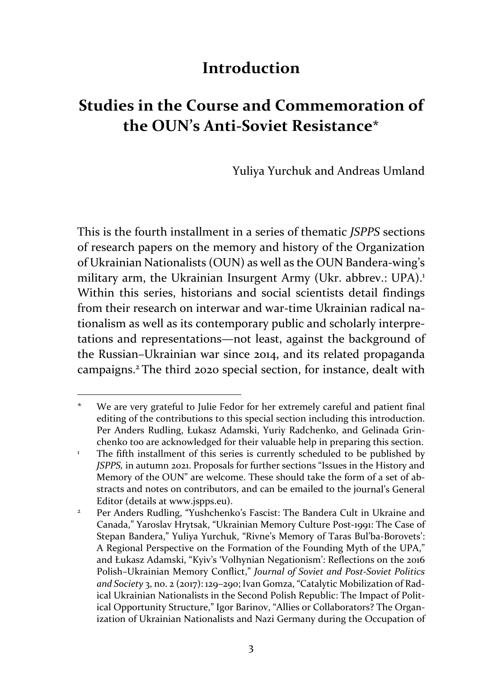## **Introduction**

# **Studies in the Course and Commemoration of the OUN's Anti‐Soviet Resistance\***

Yuliya Yurchuk and Andreas Umland

This is the fourth installment in a series of thematic *JSPPS* sections of research papers on the memory and history of the Organization of Ukrainian Nationalists (OUN) as well as the OUN Bandera‐wing's military arm, the Ukrainian Insurgent Army (Ukr. abbrev.: UPA).<sup>1</sup> Within this series, historians and social scientists detail findings from their research on interwar and war-time Ukrainian radical nationalism as well as its contemporary public and scholarly interpre‐ tations and representations—not least, against the background of the Russian–Ukrainian war since 2014, and its related propaganda campaigns.2 The third 2020 special section, for instance, dealt with

<sup>\*</sup> We are very grateful to Julie Fedor for her extremely careful and patient final editing of the contributions to this special section including this introduction. Per Anders Rudling, Łukasz Adamski, Yuriy Radchenko, and Gelinada Grin‐ chenko too are acknowledged for their valuable help in preparing this section.

<sup>1</sup> The fifth installment of this series is currently scheduled to be published by *JSPPS,* in autumn 2021. Proposals for further sections "Issues in the History and Memory of the OUN" are welcome. These should take the form of a set of abstracts and notes on contributors, and can be emailed to the journal's General Editor (details at www.jspps.eu).

<sup>2</sup> Per Anders Rudling, "Yushchenko's Fascist: The Bandera Cult in Ukraine and Canada," Yaroslav Hrytsak, "Ukrainian Memory Culture Post‐1991: The Case of Stepan Bandera," Yuliya Yurchuk, "Rivne's Memory of Taras Bul'ba‐Borovets': A Regional Perspective on the Formation of the Founding Myth of the UPA," and Łukasz Adamski, "Kyiv's 'Volhynian Negationism': Reflections on the 2016 Polish–Ukrainian Memory Conflict," *Journal of Soviet and Post‐Soviet Politics and Society* 3, no. 2 (2017): 129–290; Ivan Gomza, "Catalytic Mobilization of Rad‐ ical Ukrainian Nationalists in the Second Polish Republic: The Impact of Polit‐ ical Opportunity Structure," Igor Barinov, "Allies or Collaborators? The Organ‐ ization of Ukrainian Nationalists and Nazi Germany during the Occupation of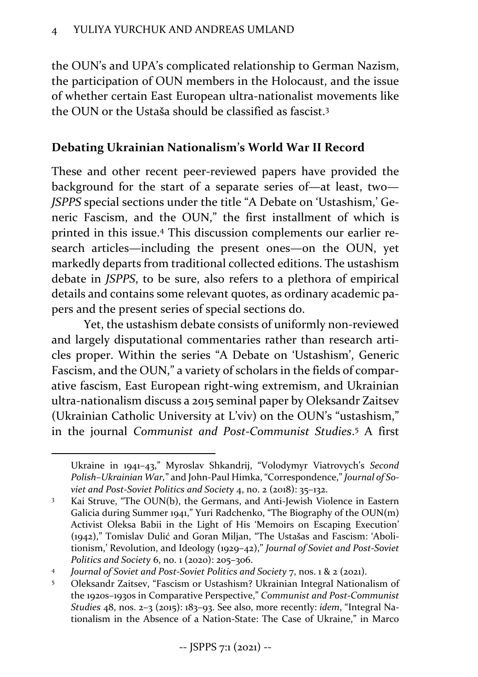the OUN's and UPA's complicated relationship to German Nazism, the participation of OUN members in the Holocaust, and the issue of whether certain East European ultra‐nationalist movements like the OUN or the Ustaša should be classified as fascist.3

#### **Debating Ukrainian Nationalism's World War II Record**

These and other recent peer-reviewed papers have provided the background for the start of a separate series of—at least, two— *JSPPS* special sections under the title "A Debate on 'Ustashism,' Ge‐ neric Fascism, and the OUN," the first installment of which is printed in this issue.4 This discussion complements our earlier re‐ search articles—including the present ones—on the OUN, yet markedly departs from traditional collected editions. The ustashism debate in *JSPPS*, to be sure, also refers to a plethora of empirical details and contains some relevant quotes, as ordinary academic pa‐ pers and the present series of special sections do.

Yet, the ustashism debate consists of uniformly non‐reviewed and largely disputational commentaries rather than research articles proper. Within the series "A Debate on 'Ustashism', Generic Fascism, and the OUN," a variety of scholars in the fields of compar‐ ative fascism, East European right‐wing extremism, and Ukrainian ultra‐nationalism discuss a 2015 seminal paper by Oleksandr Zaitsev (Ukrainian Catholic University at L'viv) on the OUN's "ustashism," in the journal *Communist and Post‐Communist Studies*. <sup>5</sup> A first

Ukraine in 1941–43," Myroslav Shkandrij, "Volodymyr Viatrovych's *Second Polish–Ukrainian War,*" and John‐Paul Himka,"Correspondence," *Journal of So‐ viet and Post‐Soviet Politics and Society* 4, no. 2 (2018): 35–132.

<sup>&</sup>lt;sup>3</sup> Kai Struve, "The OUN(b), the Germans, and Anti-Jewish Violence in Eastern Galicia during Summer 1941," Yuri Radchenko, "The Biography of the OUN(m) Activist Oleksa Babii in the Light of His 'Memoirs on Escaping Execution' (1942)," Tomislav Dulić and Goran Miljan, "The Ustašas and Fascism: 'Aboli‐ tionism,' Revolution, and Ideology (1929–42)," *Journal of Soviet and Post‐Soviet Politics and Society* 6, no. 1 (2020): 205–306.

<sup>4</sup> *Journal of Soviet and Post‐Soviet Politics and Society* 7, nos. 1 & 2 (2021).

<sup>5</sup> Oleksandr Zaitsev, "Fascism or Ustashism? Ukrainian Integral Nationalism of the 1920s–1930s in Comparative Perspective," *Communist and Post‐Communist Studies* 48, nos. 2–3 (2015): 183–93. See also, more recently: *idem*, "Integral Na‐ tionalism in the Absence of a Nation‐State: The Case of Ukraine," in Marco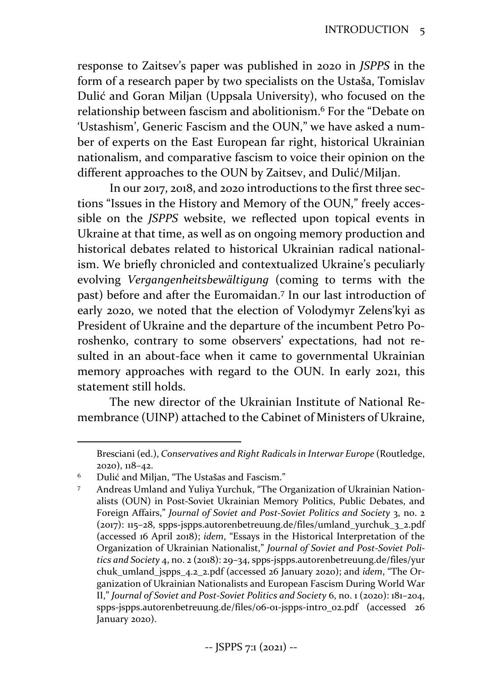response to Zaitsev's paper was published in 2020 in *JSPPS* in the form of a research paper by two specialists on the Ustaša, Tomislav Dulić and Goran Miljan (Uppsala University), who focused on the relationship between fascism and abolitionism.6 For the "Debate on 'Ustashism', Generic Fascism and the OUN," we have asked a num‐ ber of experts on the East European far right, historical Ukrainian nationalism, and comparative fascism to voice their opinion on the different approaches to the OUN by Zaitsev, and Dulić/Miljan.

In our 2017, 2018, and 2020 introductions to the first three sections "Issues in the History and Memory of the OUN," freely acces‐ sible on the *JSPPS* website, we reflected upon topical events in Ukraine at that time, as well as on ongoing memory production and historical debates related to historical Ukrainian radical national‐ ism. We briefly chronicled and contextualized Ukraine's peculiarly evolving *Vergangenheitsbewältigung* (coming to terms with the past) before and after the Euromaidan.7 In our last introduction of early 2020, we noted that the election of Volodymyr Zelens'kyi as President of Ukraine and the departure of the incumbent Petro Po‐ roshenko, contrary to some observers' expectations, had not re‐ sulted in an about-face when it came to governmental Ukrainian memory approaches with regard to the OUN. In early 2021, this statement still holds.

The new director of the Ukrainian Institute of National Re‐ membrance (UINP) attached to the Cabinet of Ministers of Ukraine,

Bresciani (ed.), *Conservatives and Right Radicals in Interwar Europe* (Routledge, 202o), 118–42.

<sup>6</sup> Dulić and Miljan, "The Ustašas and Fascism."

<sup>7</sup> Andreas Umland and Yuliya Yurchuk, "The Organization of Ukrainian Nation‐ alists (OUN) in Post‐Soviet Ukrainian Memory Politics, Public Debates, and Foreign Affairs," *Journal of Soviet and Post‐Soviet Politics and Society* 3, no. 2 (2017): 115–28, spps‐jspps.autorenbetreuung.de/files/umland\_yurchuk\_3\_2.pdf (accessed 16 April 2018); *idem*, "Essays in the Historical Interpretation of the Organization of Ukrainian Nationalist," *Journal of Soviet and Post‐Soviet Poli‐ tics and Society* 4, no. 2 (2018): 29–34, spps‐jspps.autorenbetreuung.de/files/yur chuk\_umland\_jspps\_4.2\_2.pdf (accessed 26 January 2020); and *idem*, "The Or‐ ganization of Ukrainian Nationalists and European Fascism During World War II," *Journal of Soviet and Post‐Soviet Politics and Society* 6, no. 1 (2020): 181–204, spps-jspps.autorenbetreuung.de/files/06-01-jspps-intro\_02.pdf (accessed 26 January 2020).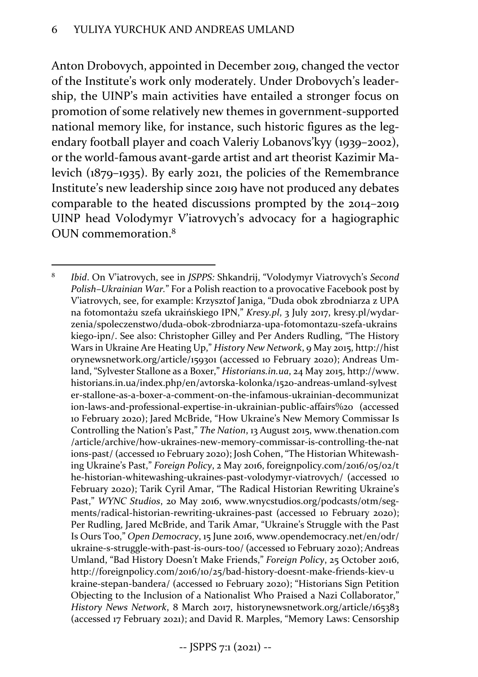Anton Drobovych, appointed in December 2019, changed the vector of the Institute's work only moderately. Under Drobovych's leader‐ ship, the UINP's main activities have entailed a stronger focus on promotion of some relatively new themes in government‐supported national memory like, for instance, such historic figures as the legendary football player and coach Valeriy Lobanovs'kyy (1939–2002), or the world‐famous avant‐garde artist and art theorist Kazimir Ma‐ levich (1879–1935). By early 2021, the policies of the Remembrance Institute's new leadership since 2019 have not produced any debates comparable to the heated discussions prompted by the 2014–2019 UINP head Volodymyr V'iatrovych's advocacy for a hagiographic OUN commemoration.8

<sup>8</sup> *Ibid*. On V'iatrovych, see in *JSPPS:* Shkandrij, "Volodymyr Viatrovych's *Second Polish–Ukrainian War.*" For a Polish reaction to a provocative Facebook post by V'iatrovych, see, for example: Krzysztof Janiga, "Duda obok zbrodniarza z UPA na fotomontażu szefa ukraińskiego IPN," *Kresy.pl*, 3 July 2017, kresy.pl/wydar‐ zenia/spoleczenstwo/duda‐obok‐zbrodniarza‐upa‐fotomontazu‐szefa‐ukrains kiego-ipn/. See also: Christopher Gilley and Per Anders Rudling, "The History Wars in Ukraine Are Heating Up," *History New Network*, 9 May 2015, http://hist orynewsnetwork.org/article/159301 (accessed 10 February 2020); Andreas Um‐ land, "Sylvester Stallone as a Boxer," *Historians.in.ua*, 24 May 2015, http://www. historians.in.ua/index.php/en/avtorska‐kolonka/1520‐andreas‐umland‐sylvest er‐stallone‐as‐a‐boxer‐a‐comment‐on‐the‐infamous‐ukrainian‐decommunizat ion‐laws‐and‐professional‐expertise‐in‐ukrainian‐public‐affairs%20 (accessed 10 February 2020); Jared McBride, "How Ukraine's New Memory Commissar Is Controlling the Nation's Past," *The Nation*, 13 August 2015, www.thenation.com /article/archive/how‐ukraines‐new‐memory‐commissar‐is‐controlling‐the‐nat ions-past/ (accessed 10 February 2020); Josh Cohen, "The Historian Whitewashing Ukraine's Past," *Foreign Policy*, 2 May 2016, foreignpolicy.com/2016/05/02/t he-historian-whitewashing-ukraines-past-volodymyr-viatrovych/ (accessed 10 February 2020); Tarik Cyril Amar, "The Radical Historian Rewriting Ukraine's Past," WYNC Studios, 20 May 2016, www.wnycstudios.org/podcasts/otm/segments/radical‐historian‐rewriting‐ukraines‐past (accessed 10 February 2020); Per Rudling, Jared McBride, and Tarik Amar, "Ukraine's Struggle with the Past Is Ours Too," *Open Democracy*, 15 June 2016, www.opendemocracy.net/en/odr/ ukraine‐s‐struggle‐with‐past‐is‐ours‐too/ (accessed 10 February 2020); Andreas Umland, "Bad History Doesn't Make Friends," *Foreign Policy*, 25 October 2016, http://foreignpolicy.com/2016/10/25/bad‐history‐doesnt‐make‐friends‐kiev‐u kraine‐stepan‐bandera/ (accessed 10 February 2020); "Historians Sign Petition Objecting to the Inclusion of a Nationalist Who Praised a Nazi Collaborator," *History News Network*, 8 March 2017, historynewsnetwork.org/article/165383 (accessed 17 February 2021); and David R. Marples, "Memory Laws: Censorship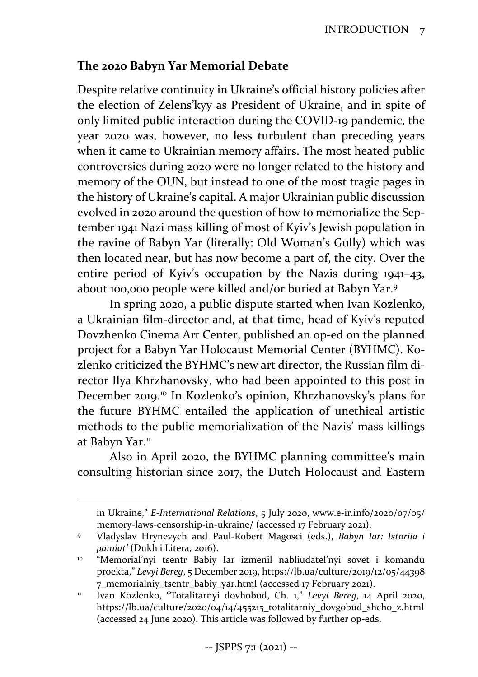#### **The 2020 Babyn Yar Memorial Debate**

Despite relative continuity in Ukraine's official history policies after the election of Zelens'kyy as President of Ukraine, and in spite of only limited public interaction during the COVID‐19 pandemic, the year 2020 was, however, no less turbulent than preceding years when it came to Ukrainian memory affairs. The most heated public controversies during 2020 were no longer related to the history and memory of the OUN, but instead to one of the most tragic pages in the history of Ukraine's capital. A major Ukrainian public discussion evolved in 2020 around the question of how to memorialize the Sep‐ tember 1941 Nazi mass killing of most of Kyiv's Jewish population in the ravine of Babyn Yar (literally: Old Woman's Gully) which was then located near, but has now become a part of, the city. Over the entire period of Kyiv's occupation by the Nazis during 1941–43, about 100,000 people were killed and/or buried at Babyn Yar.9

In spring 2020, a public dispute started when Ivan Kozlenko, a Ukrainian film‐director and, at that time, head of Kyiv's reputed Dovzhenko Cinema Art Center, published an op‐ed on the planned project for a Babyn Yar Holocaust Memorial Center (BYHMC). Ko‐ zlenko criticized the BYHMC's new art director, the Russian film di‐ rector Ilya Khrzhanovsky, who had been appointed to this post in December 2019.10 In Kozlenko's opinion, Khrzhanovsky's plans for the future BYHMC entailed the application of unethical artistic methods to the public memorialization of the Nazis' mass killings at Babyn Yar.<sup>11</sup>

Also in April 2020, the BYHMC planning committee's main consulting historian since 2017, the Dutch Holocaust and Eastern

in Ukraine," *E‐International Relations*, 5 July 2020, www.e‐ir.info/2020/07/05/ memory‐laws‐censorship‐in‐ukraine/ (accessed 17 February 2021).

<sup>9</sup> Vladyslav Hrynevych and Paul‐Robert Magosci (eds.), *Babyn Iar: Istoriia i pamiat'* (Dukh i Litera, 2016).

<sup>&</sup>lt;sup>10</sup> "Memorial'nyi tsentr Babiy Iar izmenil nabliudatel'nyi sovet i komandu proekta," *Levyi Bereg*, 5 December 2019, https://lb.ua/culture/2019/12/05/44398 7\_memorialniy\_tsentr\_babiy\_yar.html (accessed 17 February 2021).

<sup>11</sup> Ivan Kozlenko, "Totalitarnyi dovhobud, Ch. 1," *Levyi Bereg*, 14 April 2020, https://lb.ua/culture/2020/04/14/455215\_totalitarniy\_dovgobud\_shcho\_z.html (accessed 24 June 2020). This article was followed by further op‐eds.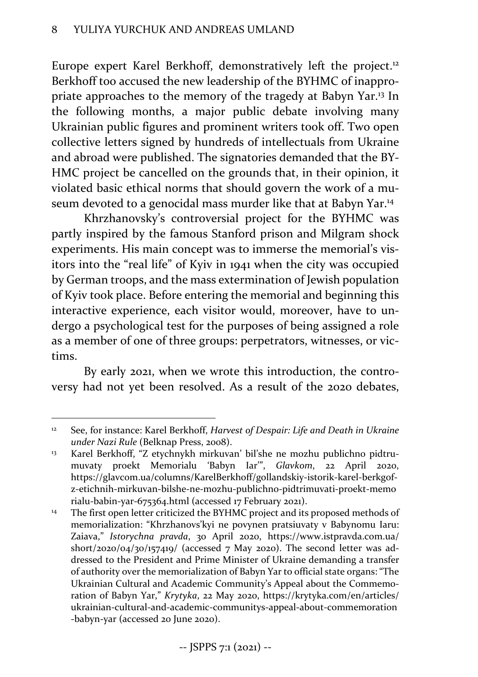Europe expert Karel Berkhoff, demonstratively left the project.<sup>12</sup> Berkhoff too accused the new leadership of the BYHMC of inappro‐ priate approaches to the memory of the tragedy at Babyn Yar.13 In the following months, a major public debate involving many Ukrainian public figures and prominent writers took off. Two open collective letters signed by hundreds of intellectuals from Ukraine and abroad were published. The signatories demanded that the BY‐ HMC project be cancelled on the grounds that, in their opinion, it violated basic ethical norms that should govern the work of a mu‐ seum devoted to a genocidal mass murder like that at Babyn Yar.14

Khrzhanovsky's controversial project for the BYHMC was partly inspired by the famous Stanford prison and Milgram shock experiments. His main concept was to immerse the memorial's visitors into the "real life" of Kyiv in 1941 when the city was occupied by German troops, and the mass extermination of Jewish population of Kyiv took place. Before entering the memorial and beginning this interactive experience, each visitor would, moreover, have to undergo a psychological test for the purposes of being assigned a role as a member of one of three groups: perpetrators, witnesses, or vic‐ tims.

By early 2021, when we wrote this introduction, the controversy had not yet been resolved. As a result of the 2020 debates,

<sup>12</sup> See, for instance: Karel Berkhoff, *Harvest of Despair: Life and Death in Ukraine under Nazi Rule* (Belknap Press, 2008).

<sup>&</sup>lt;sup>13</sup> Karel Berkhoff, "Z etychnykh mirkuvan' bil'she ne mozhu publichno pidtrumuvaty proekt Memorialu 'Babyn Iar'", *Glavkom*, 22 April 2020, https://glavcom.ua/columns/KarelBerkhoff/gollandskiy‐istorik‐karel‐berkgof‐ z‐etichnih‐mirkuvan‐bilshe‐ne‐mozhu‐publichno‐pidtrimuvati‐proekt‐memo rialu‐babin‐yar‐675364.html (accessed 17 February 2021).

<sup>&</sup>lt;sup>14</sup> The first open letter criticized the BYHMC project and its proposed methods of memorialization: "Khrzhanovs'kyi ne povynen pratsiuvaty v Babynomu Iaru: Zaiava," *Istorychna pravda*, 30 April 2020, https://www.istpravda.com.ua/ short/2020/04/30/157419/ (accessed 7 May 2020). The second letter was addressed to the President and Prime Minister of Ukraine demanding a transfer of authority over the memorialization of Babyn Yar to official state organs: "The Ukrainian Cultural and Academic Community's Appeal about the Commemo‐ ration of Babyn Yar," *Krytyka*, 22 May 2020, https://krytyka.com/en/articles/ ukrainian‐cultural‐and‐academic‐communitys‐appeal‐about‐commemoration ‐babyn‐yar (accessed 20 June 2020).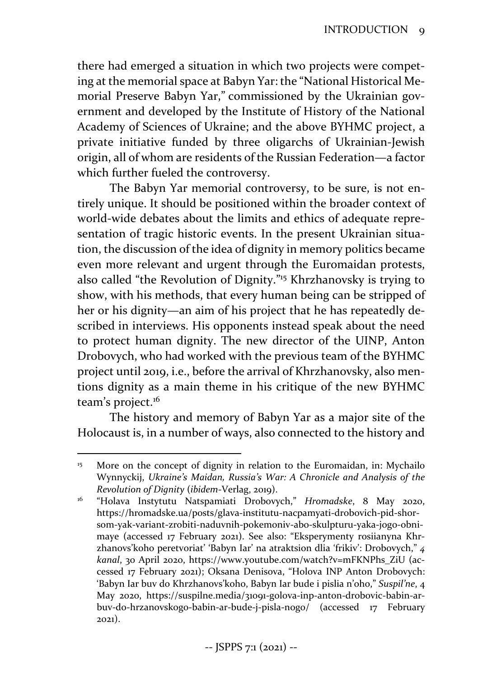there had emerged a situation in which two projects were compet‐ ing at the memorial space at Babyn Yar: the "National Historical Me‐ morial Preserve Babyn Yar," commissioned by the Ukrainian government and developed by the Institute of History of the National Academy of Sciences of Ukraine; and the above BYHMC project, a private initiative funded by three oligarchs of Ukrainian‐Jewish origin, all of whom are residents of the Russian Federation—a factor which further fueled the controversy.

The Babyn Yar memorial controversy, to be sure, is not en‐ tirely unique. It should be positioned within the broader context of world-wide debates about the limits and ethics of adequate representation of tragic historic events. In the present Ukrainian situation, the discussion of the idea of dignity in memory politics became even more relevant and urgent through the Euromaidan protests, also called "the Revolution of Dignity."15 Khrzhanovsky is trying to show, with his methods, that every human being can be stripped of her or his dignity—an aim of his project that he has repeatedly described in interviews. His opponents instead speak about the need to protect human dignity. The new director of the UINP, Anton Drobovych, who had worked with the previous team of the BYHMC project until 2019, i.e., before the arrival of Khrzhanovsky, also men‐ tions dignity as a main theme in his critique of the new BYHMC team's project.<sup>16</sup>

The history and memory of Babyn Yar as a major site of the Holocaust is, in a number of ways, also connected to the history and

<sup>&</sup>lt;sup>15</sup> More on the concept of dignity in relation to the Euromaidan, in: Mychailo Wynnyckij, *Ukraine's Maidan, Russia's War: A Chronicle and Analysis of the Revolution of Dignity* (*ibidem*‐Verlag, 2019).

<sup>16</sup> "Holava Instytutu Natspamiati Drobovych," *Hromadske*, 8 May 2020, https://hromadske.ua/posts/glava‐institutu‐nacpamyati‐drobovich‐pid‐shor‐ som‐yak‐variant‐zrobiti‐naduvnih‐pokemoniv‐abo‐skulpturu‐yaka‐jogo‐obni‐ maye (accessed 17 February 2021). See also: "Eksperymenty rosiianyna Khr‐ zhanovs'koho peretvoriat' 'Babyn Iar' na atraktsion dlia 'frikiv': Drobovych," *4 kanal*, 30 April 2020, https://www.youtube.com/watch?v=mFKNPhs\_ZiU (ac‐ cessed 17 February 2021); Oksana Denisova, "Holova INP Anton Drobovych: 'Babyn Iar buv do Khrzhanovs'koho, Babyn Iar bude i pislia n'oho," *Suspil'ne*, 4 May 2020, https://suspilne.media/31091‐golova‐inp‐anton‐drobovic‐babin‐ar‐ buv‐do‐hrzanovskogo‐babin‐ar‐bude‐j‐pisla‐nogo/ (accessed 17 February 2021).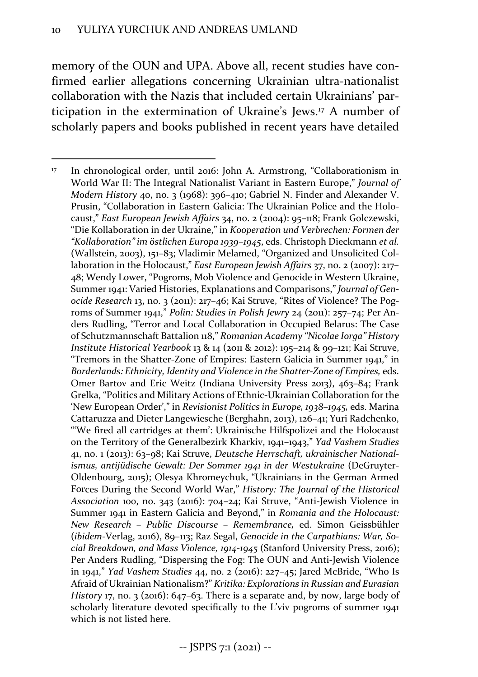memory of the OUN and UPA. Above all, recent studies have confirmed earlier allegations concerning Ukrainian ultra-nationalist collaboration with the Nazis that included certain Ukrainians' par‐ ticipation in the extermination of Ukraine's Jews.17 A number of scholarly papers and books published in recent years have detailed

<sup>&</sup>lt;sup>17</sup> In chronological order, until 2016: John A. Armstrong, "Collaborationism in World War II: The Integral Nationalist Variant in Eastern Europe," *Journal of Modern History* 40, no. 3 (1968): 396–410; Gabriel N. Finder and Alexander V. Prusin, "Collaboration in Eastern Galicia: The Ukrainian Police and the Holocaust," *East European Jewish Affairs* 34, no. 2 (2004): 95–118; Frank Golczewski, "Die Kollaboration in der Ukraine," in *Kooperation und Verbrechen: Formen der "Kollaboration" im östlichen Europa 1939–1945*, eds. Christoph Dieckmann *et al.* (Wallstein, 2003), 151–83; Vladimir Melamed, "Organized and Unsolicited Col‐ laboration in the Holocaust," *East European Jewish Affairs* 37, no. 2 (2007): 217– 48; Wendy Lower, "Pogroms, Mob Violence and Genocide in Western Ukraine, Summer 1941: Varied Histories, Explanations and Comparisons," *Journal of Gen‐ ocide Research* 13, no. 3 (2011): 217–46; Kai Struve, "Rites of Violence? The Pog‐ roms of Summer 1941," *Polin: Studies in Polish Jewry* 24 (2011): 257–74; Per An‐ ders Rudling, "Terror and Local Collaboration in Occupied Belarus: The Case of Schutzmannschaft Battalion 118," *Romanian Academy "Nicolae Iorga" History Institute Historical Yearbook* 13 & 14 (2011 & 2012): 195–214 & 99–121; Kai Struve, "Tremors in the Shatter‐Zone of Empires: Eastern Galicia in Summer 1941," in *Borderlands: Ethnicity, Identity and Violence in the Shatter‐Zone of Empires,* eds. Omer Bartov and Eric Weitz (Indiana University Press 2013), 463–84; Frank Grelka, "Politics and Military Actions of Ethnic‐Ukrainian Collaboration for the 'New European Order'," in *Revisionist Politics in Europe, 1938–1945,* eds. Marina Cattaruzza and Dieter Langewiesche (Berghahn, 2013), 126–41; Yuri Radchenko, "'We fired all cartridges at them': Ukrainische Hilfspolizei and the Holocaust on the Territory of the Generalbezirk Kharkiv, 1941–1943," *Yad Vashem Studies* 41, no. 1 (2013): 63–98; Kai Struve, *Deutsche Herrschaft, ukrainischer National‐ ismus, antijüdische Gewalt: Der Sommer 1941 in der Westukraine* (DeGruyter‐ Oldenbourg, 2015); Olesya Khromeychuk, "Ukrainians in the German Armed Forces During the Second World War," *History: The Journal of the Historical Association* 100, no. 343 (2016): 704–24; Kai Struve, "Anti‐Jewish Violence in Summer 1941 in Eastern Galicia and Beyond," in *Romania and the Holocaust: New Research – Public Discourse – Remembrance,* ed. Simon Geissbühler (*ibidem*‐Verlag, 2016), 89–113; Raz Segal, *Genocide in the Carpathians: War, So‐ cial Breakdown, and Mass Violence, 1914‐1945* (Stanford University Press, 2016); Per Anders Rudling, "Dispersing the Fog: The OUN and Anti‐Jewish Violence in 1941," *Yad Vashem Studies* 44, no. 2 (2016): 227–45; Jared McBride, "Who Is Afraid of Ukrainian Nationalism?" *Kritika: Explorations in Russian and Eurasian History* 17, no. 3 (2016): 647–63. There is a separate and, by now, large body of scholarly literature devoted specifically to the L'viv pogroms of summer 1941 which is not listed here.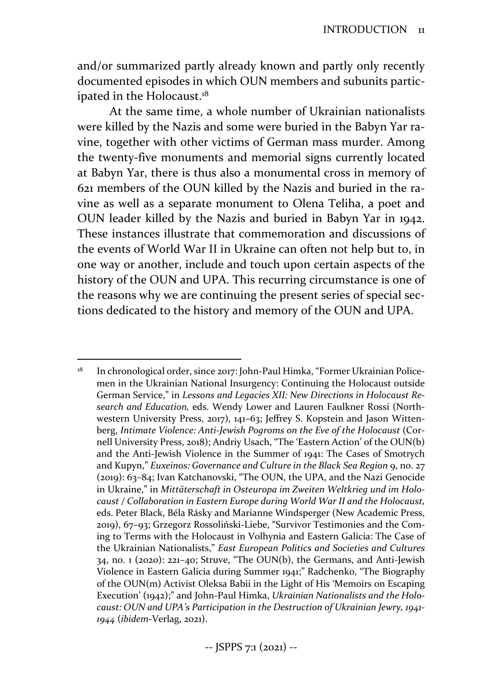and/or summarized partly already known and partly only recently documented episodes in which OUN members and subunits partic‐ ipated in the Holocaust.<sup>18</sup>

At the same time, a whole number of Ukrainian nationalists were killed by the Nazis and some were buried in the Babyn Yar ravine, together with other victims of German mass murder. Among the twenty‐five monuments and memorial signs currently located at Babyn Yar, there is thus also a monumental cross in memory of 621 members of the OUN killed by the Nazis and buried in the ra‐ vine as well as a separate monument to Olena Teliha, a poet and OUN leader killed by the Nazis and buried in Babyn Yar in 1942. These instances illustrate that commemoration and discussions of the events of World War II in Ukraine can often not help but to, in one way or another, include and touch upon certain aspects of the history of the OUN and UPA. This recurring circumstance is one of the reasons why we are continuing the present series of special sec‐ tions dedicated to the history and memory of the OUN and UPA.

<sup>&</sup>lt;sup>18</sup> In chronological order, since 2017: John-Paul Himka, "Former Ukrainian Policemen in the Ukrainian National Insurgency: Continuing the Holocaust outside German Service," in *Lessons and Legacies XII: New Directions in Holocaust Re‐ search and Education,* eds. Wendy Lower and Lauren Faulkner Rossi (North‐ western University Press, 2017), 141–63; Jeffrey S. Kopstein and Jason Wittenberg, *Intimate Violence: Anti‐Jewish Pogroms on the Eve of the Holocaust* (Cor‐ nell University Press, 2018); Andriy Usach, "The 'Eastern Action' of the OUN(b) and the Anti‐Jewish Violence in the Summer of 1941: The Cases of Smotrych and Kupyn," *Euxeinos: Governance and Culture in the Black Sea Region* 9, no. 27 (2019): 63–84; Ivan Katchanovski, "The OUN, the UPA, and the Nazi Genocide in Ukraine," in *Mittäterschaft in Osteuropa im Zweiten Weltkrieg und im Holo‐ caust / Collaboration in Eastern Europe during World War II and the Holocaust,* eds. Peter Black, Béla Rásky and Marianne Windsperger (New Academic Press, 2019), 67–93; Grzegorz Rossoliński‐Liebe, "Survivor Testimonies and the Com‐ ing to Terms with the Holocaust in Volhynia and Eastern Galicia: The Case of the Ukrainian Nationalists," *East European Politics and Societies and Cultures* 34, no. 1 (2020): 221–40; Struve, "The OUN(b), the Germans, and Anti‐Jewish Violence in Eastern Galicia during Summer 1941;" Radchenko, "The Biography of the OUN(m) Activist Oleksa Babii in the Light of His 'Memoirs on Escaping Execution' (1942);" and John‐Paul Himka, *Ukrainian Nationalists and the Holo‐ caust: OUN and UPA's Participation in the Destruction of Ukrainian Jewry, 1941‐ 1944* (*ibidem*‐Verlag, 2021).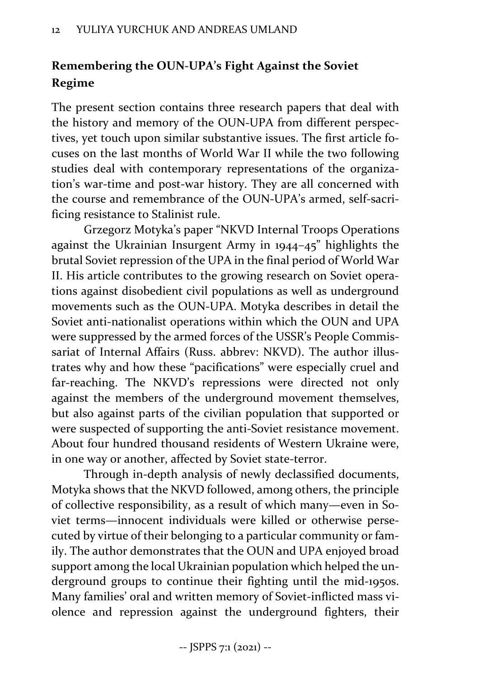### **Remembering the OUN‐UPA's Fight Against the Soviet Regime**

The present section contains three research papers that deal with the history and memory of the OUN‐UPA from different perspec‐ tives, yet touch upon similar substantive issues. The first article focuses on the last months of World War II while the two following studies deal with contemporary representations of the organiza‐ tion's war-time and post-war history. They are all concerned with the course and remembrance of the OUN‐UPA's armed, self‐sacri‐ ficing resistance to Stalinist rule.

Grzegorz Motyka's paper "NKVD Internal Troops Operations against the Ukrainian Insurgent Army in 1944–45" highlights the brutal Soviet repression of the UPA in the final period of World War II. His article contributes to the growing research on Soviet opera‐ tions against disobedient civil populations as well as underground movements such as the OUN‐UPA. Motyka describes in detail the Soviet anti-nationalist operations within which the OUN and UPA were suppressed by the armed forces of the USSR's People Commis‐ sariat of Internal Affairs (Russ. abbrev: NKVD). The author illustrates why and how these "pacifications" were especially cruel and far-reaching. The NKVD's repressions were directed not only against the members of the underground movement themselves, but also against parts of the civilian population that supported or were suspected of supporting the anti‐Soviet resistance movement. About four hundred thousand residents of Western Ukraine were, in one way or another, affected by Soviet state‐terror.

Through in‐depth analysis of newly declassified documents, Motyka shows that the NKVD followed, among others, the principle of collective responsibility, as a result of which many—even in So‐ viet terms—innocent individuals were killed or otherwise perse‐ cuted by virtue of their belonging to a particular community or fam‐ ily. The author demonstrates that the OUN and UPA enjoyed broad support among the local Ukrainian population which helped the un‐ derground groups to continue their fighting until the mid‐1950s. Many families' oral and written memory of Soviet-inflicted mass violence and repression against the underground fighters, their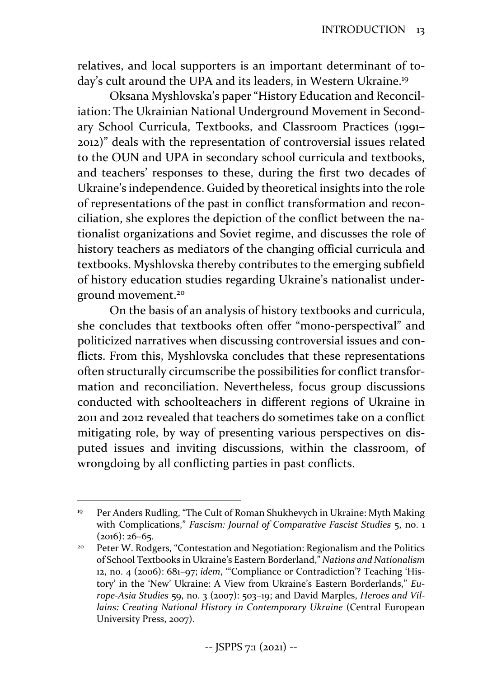relatives, and local supporters is an important determinant of to‐ day's cult around the UPA and its leaders, in Western Ukraine.<sup>19</sup>

Oksana Myshlovska's paper "History Education and Reconcil‐ iation: The Ukrainian National Underground Movement in Second‐ ary School Curricula, Textbooks, and Classroom Practices (1991– 2012)" deals with the representation of controversial issues related to the OUN and UPA in secondary school curricula and textbooks, and teachers' responses to these, during the first two decades of Ukraine's independence. Guided by theoretical insights into the role of representations of the past in conflict transformation and recon‐ ciliation, she explores the depiction of the conflict between the na‐ tionalist organizations and Soviet regime, and discusses the role of history teachers as mediators of the changing official curricula and textbooks. Myshlovska thereby contributes to the emerging subfield of history education studies regarding Ukraine's nationalist under‐ ground movement.20

On the basis of an analysis of history textbooks and curricula, she concludes that textbooks often offer "mono‐perspectival" and politicized narratives when discussing controversial issues and conflicts. From this, Myshlovska concludes that these representations often structurally circumscribe the possibilities for conflict transfor‐ mation and reconciliation. Nevertheless, focus group discussions conducted with schoolteachers in different regions of Ukraine in 2011 and 2012 revealed that teachers do sometimes take on a conflict mitigating role, by way of presenting various perspectives on dis‐ puted issues and inviting discussions, within the classroom, of wrongdoing by all conflicting parties in past conflicts.

<sup>&</sup>lt;sup>19</sup> Per Anders Rudling, "The Cult of Roman Shukhevych in Ukraine: Myth Making with Complications," *Fascism: Journal of Comparative Fascist Studies* 5, no. 1  $(2016): 26-65.$ 

<sup>20</sup> Peter W. Rodgers, "Contestation and Negotiation: Regionalism and the Politics of School Textbooks in Ukraine's Eastern Borderland," *Nations and Nationalism* 12, no. 4 (2006): 681–97; *idem*, "'Compliance or Contradiction'? Teaching 'His‐ tory' in the 'New' Ukraine: A View from Ukraine's Eastern Borderlands," *Eu‐ rope‐Asia Studies* 59, no. 3 (2007): 503–19; and David Marples, *Heroes and Vil‐ lains: Creating National History in Contemporary Ukraine* (Central European University Press, 2007).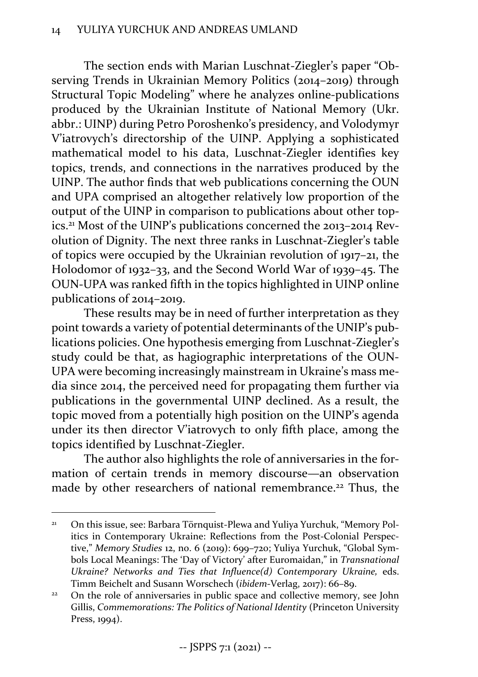The section ends with Marian Luschnat‐Ziegler's paper "Ob‐ serving Trends in Ukrainian Memory Politics (2014–2019) through Structural Topic Modeling" where he analyzes online‐publications produced by the Ukrainian Institute of National Memory (Ukr. abbr.: UINP) during Petro Poroshenko's presidency, and Volodymyr V'iatrovych's directorship of the UINP. Applying a sophisticated mathematical model to his data, Luschnat‐Ziegler identifies key topics, trends, and connections in the narratives produced by the UINP. The author finds that web publications concerning the OUN and UPA comprised an altogether relatively low proportion of the output of the UINP in comparison to publications about other top‐ ics.<sup>21</sup> Most of the UINP's publications concerned the 2013–2014 Revolution of Dignity. The next three ranks in Luschnat‐Ziegler's table of topics were occupied by the Ukrainian revolution of 1917–21, the Holodomor of 1932–33, and the Second World War of 1939–45. The OUN‐UPA was ranked fifth in the topics highlighted in UINP online publications of 2014–2019.

These results may be in need of further interpretation as they point towards a variety of potential determinants of the UNIP's pub‐ lications policies. One hypothesis emerging from Luschnat‐Ziegler's study could be that, as hagiographic interpretations of the OUN‐ UPA were becoming increasingly mainstream in Ukraine's mass me‐ dia since 2014, the perceived need for propagating them further via publications in the governmental UINP declined. As a result, the topic moved from a potentially high position on the UINP's agenda under its then director V'iatrovych to only fifth place, among the topics identified by Luschnat‐Ziegler.

The author also highlights the role of anniversaries in the formation of certain trends in memory discourse—an observation made by other researchers of national remembrance.<sup>22</sup> Thus, the

<sup>&</sup>lt;sup>21</sup> On this issue, see: Barbara Törnquist-Plewa and Yuliya Yurchuk, "Memory Politics in Contemporary Ukraine: Reflections from the Post-Colonial Perspective," *Memory Studies* 12, no. 6 (2019): 699–720; Yuliya Yurchuk, "Global Sym‐ bols Local Meanings: The 'Day of Victory' after Euromaidan," in *Transnational Ukraine? Networks and Ties that Influence(d) Contemporary Ukraine,* eds. Timm Beichelt and Susann Worschech (*ibidem*‐Verlag, 2017): 66–89.

<sup>&</sup>lt;sup>22</sup> On the role of anniversaries in public space and collective memory, see John Gillis, *Commemorations: The Politics of National Identity* (Princeton University Press, 1994).